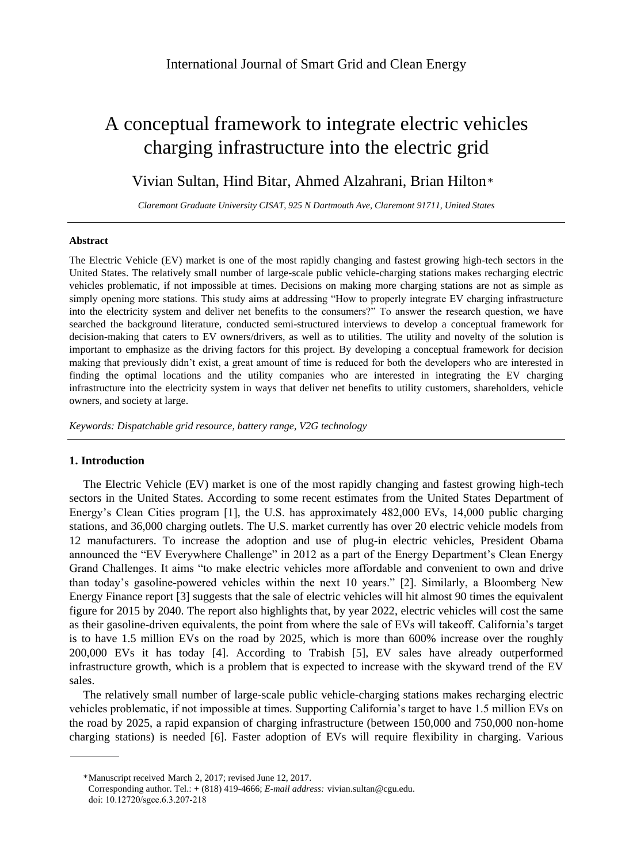# A conceptual framework to integrate electric vehicles charging infrastructure into the electric grid

## Vivian Sultan, Hind Bitar, Ahmed Alzahrani, Brian Hilton\*

*Claremont Graduate University CISAT, 925 N Dartmouth Ave, Claremont 91711, United States*

## **Abstract**

The Electric Vehicle (EV) market is one of the most rapidly changing and fastest growing high-tech sectors in the United States. The relatively small number of large-scale public vehicle-charging stations makes recharging electric vehicles problematic, if not impossible at times. Decisions on making more charging stations are not as simple as simply opening more stations. This study aims at addressing "How to properly integrate EV charging infrastructure into the electricity system and deliver net benefits to the consumers?" To answer the research question, we have searched the background literature, conducted semi-structured interviews to develop a conceptual framework for decision-making that caters to EV owners/drivers, as well as to utilities. The utility and novelty of the solution is important to emphasize as the driving factors for this project. By developing a conceptual framework for decision making that previously didn't exist, a great amount of time is reduced for both the developers who are interested in finding the optimal locations and the utility companies who are interested in integrating the EV charging infrastructure into the electricity system in ways that deliver net benefits to utility customers, shareholders, vehicle owners, and society at large.

*Keywords: Dispatchable grid resource, battery range, V2G technology*

## **1. Introduction**

The Electric Vehicle (EV) market is one of the most rapidly changing and fastest growing high-tech sectors in the United States. According to some recent estimates from the United States Department of Energy's Clean Cities program [1], the U.S. has approximately 482,000 EVs, 14,000 public charging stations, and 36,000 charging outlets. The U.S. market currently has over 20 electric vehicle models from 12 manufacturers. To increase the adoption and use of plug-in electric vehicles, President Obama announced the "EV Everywhere Challenge" in 2012 as a part of the Energy Department's Clean Energy Grand Challenges. It aims "to make electric vehicles more affordable and convenient to own and drive than today's gasoline-powered vehicles within the next 10 years." [2]. Similarly, a Bloomberg New Energy Finance report [3] suggests that the sale of electric vehicles will hit almost 90 times the equivalent figure for 2015 by 2040. The report also highlights that, by year 2022, electric vehicles will cost the same as their gasoline-driven equivalents, the point from where the sale of EVs will takeoff. California's target is to have 1.5 million EVs on the road by 2025, which is more than 600% increase over the roughly 200,000 EVs it has today [4]. According to Trabish [5], EV sales have already outperformed infrastructure growth, which is a problem that is expected to increase with the skyward trend of the EV sales.

The relatively small number of large-scale public vehicle-charging stations makes recharging electric vehicles problematic, if not impossible at times. Supporting California's target to have 1.5 million EVs on the road by 2025, a rapid expansion of charging infrastructure (between 150,000 and 750,000 non-home charging stations) is needed [6]. Faster adoption of EVs will require flexibility in charging. Various

<sup>\*</sup> Manuscript received March 2, 2017; revised June 12, 2017.

Corresponding author. Tel.: + (818) 419-4666; *E-mail address:* [vivian.sultan@cgu.edu.](mailto:vivian.sultan@icloud.com) doi: 10.12720/sgce.6.3.207-218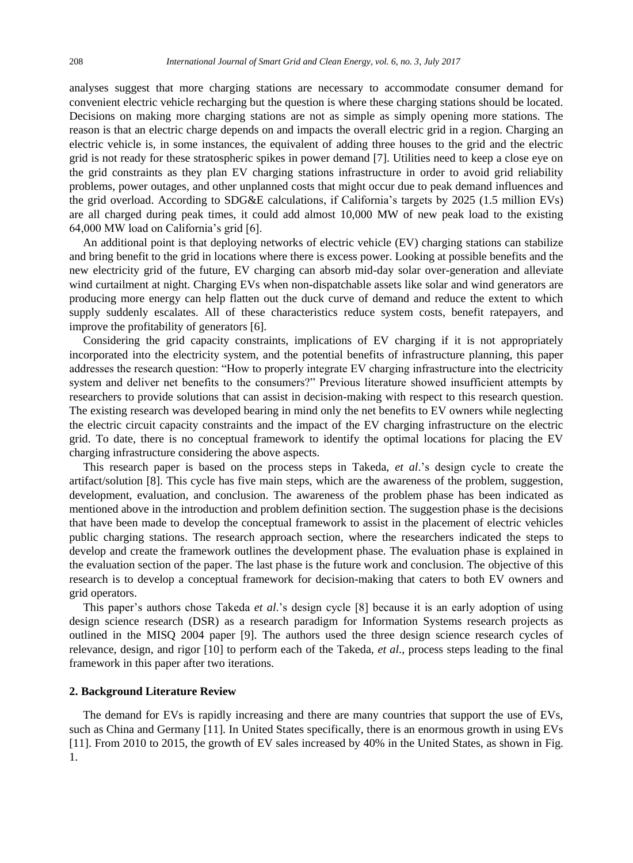analyses suggest that more charging stations are necessary to accommodate consumer demand for convenient electric vehicle recharging but the question is where these charging stations should be located. Decisions on making more charging stations are not as simple as simply opening more stations. The reason is that an electric charge depends on and impacts the overall electric grid in a region. Charging an electric vehicle is, in some instances, the equivalent of adding three houses to the grid and the electric grid is not ready for these stratospheric spikes in power demand [7]. Utilities need to keep a close eye on the grid constraints as they plan EV charging stations infrastructure in order to avoid grid reliability problems, power outages, and other unplanned costs that might occur due to peak demand influences and the grid overload. According to SDG&E calculations, if California's targets by 2025 (1.5 million EVs) are all charged during peak times, it could add almost 10,000 MW of new peak load to the existing 64,000 MW load on California's grid [6].

An additional point is that deploying networks of electric vehicle (EV) charging stations can stabilize and bring benefit to the grid in locations where there is excess power. Looking at possible benefits and the new electricity grid of the future, EV charging can absorb mid-day solar over-generation and alleviate wind curtailment at night. Charging EVs when non-dispatchable assets like solar and wind generators are producing more energy can help flatten out the duck curve of demand and reduce the extent to which supply suddenly escalates. All of these characteristics reduce system costs, benefit ratepayers, and improve the profitability of generators [6].

Considering the grid capacity constraints, implications of EV charging if it is not appropriately incorporated into the electricity system, and the potential benefits of infrastructure planning, this paper addresses the research question: "How to properly integrate EV charging infrastructure into the electricity system and deliver net benefits to the consumers?" Previous literature showed insufficient attempts by researchers to provide solutions that can assist in decision-making with respect to this research question. The existing research was developed bearing in mind only the net benefits to EV owners while neglecting the electric circuit capacity constraints and the impact of the EV charging infrastructure on the electric grid. To date, there is no conceptual framework to identify the optimal locations for placing the EV charging infrastructure considering the above aspects.

This research paper is based on the process steps in Takeda, *et al*.'s design cycle to create the artifact/solution [8]. This cycle has five main steps, which are the awareness of the problem, suggestion, development, evaluation, and conclusion. The awareness of the problem phase has been indicated as mentioned above in the introduction and problem definition section. The suggestion phase is the decisions that have been made to develop the conceptual framework to assist in the placement of electric vehicles public charging stations. The research approach section, where the researchers indicated the steps to develop and create the framework outlines the development phase. The evaluation phase is explained in the evaluation section of the paper. The last phase is the future work and conclusion. The objective of this research is to develop a conceptual framework for decision-making that caters to both EV owners and grid operators.

This paper's authors chose Takeda *et al*.'s design cycle [8] because it is an early adoption of using design science research (DSR) as a research paradigm for Information Systems research projects as outlined in the MISQ 2004 paper [9]. The authors used the three design science research cycles of relevance, design, and rigor [10] to perform each of the Takeda, *et al*., process steps leading to the final framework in this paper after two iterations.

## **2. Background Literature Review**

The demand for EVs is rapidly increasing and there are many countries that support the use of EVs, such as China and Germany [11]. In United States specifically, there is an enormous growth in using EVs [11]. From 2010 to 2015, the growth of EV sales increased by 40% in the United States, as shown in Fig. 1.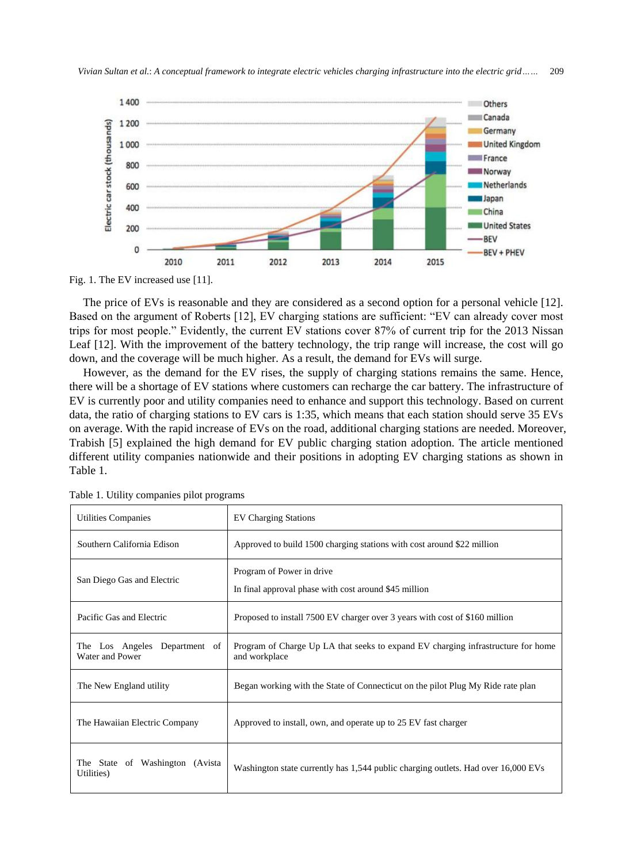

Fig. 1. The EV increased use [11].

The price of EVs is reasonable and they are considered as a second option for a personal vehicle [12]. Based on the argument of Roberts [12], EV charging stations are sufficient: "EV can already cover most trips for most people." Evidently, the current EV stations cover 87% of current trip for the 2013 Nissan Leaf [12]. With the improvement of the battery technology, the trip range will increase, the cost will go down, and the coverage will be much higher. As a result, the demand for EVs will surge.

However, as the demand for the EV rises, the supply of charging stations remains the same. Hence, there will be a shortage of EV stations where customers can recharge the car battery. The infrastructure of EV is currently poor and utility companies need to enhance and support this technology. Based on current data, the ratio of charging stations to EV cars is 1:35, which means that each station should serve 35 EVs on average. With the rapid increase of EVs on the road, additional charging stations are needed. Moreover, Trabish [5] explained the high demand for EV public charging station adoption. The article mentioned different utility companies nationwide and their positions in adopting EV charging stations as shown in Table 1.

| <b>Utilities Companies</b>                       | <b>EV Charging Stations</b>                                                                       |
|--------------------------------------------------|---------------------------------------------------------------------------------------------------|
| Southern California Edison                       | Approved to build 1500 charging stations with cost around \$22 million                            |
| San Diego Gas and Electric                       | Program of Power in drive<br>In final approval phase with cost around \$45 million                |
| Pacific Gas and Electric                         | Proposed to install 7500 EV charger over 3 years with cost of \$160 million                       |
| The Los Angeles Department of<br>Water and Power | Program of Charge Up LA that seeks to expand EV charging infrastructure for home<br>and workplace |
| The New England utility                          | Began working with the State of Connecticut on the pilot Plug My Ride rate plan                   |
| The Hawaiian Electric Company                    | Approved to install, own, and operate up to 25 EV fast charger                                    |
| The State of Washington (Avista)<br>Utilities)   | Washington state currently has 1,544 public charging outlets. Had over 16,000 EVs                 |

Table 1. Utility companies pilot programs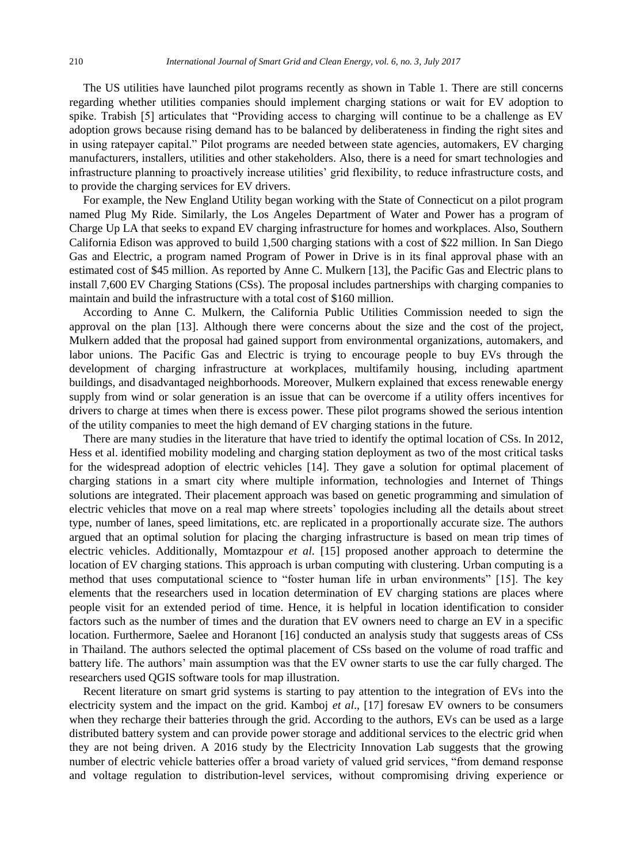The US utilities have launched pilot programs recently as shown in Table 1. There are still concerns regarding whether utilities companies should implement charging stations or wait for EV adoption to spike. Trabish [5] articulates that "Providing access to charging will continue to be a challenge as EV adoption grows because rising demand has to be balanced by deliberateness in finding the right sites and in using ratepayer capital." Pilot programs are needed between state agencies, automakers, EV charging manufacturers, installers, utilities and other stakeholders. Also, there is a need for smart technologies and infrastructure planning to proactively increase utilities' grid flexibility, to reduce infrastructure costs, and to provide the charging services for EV drivers.

For example, the New England Utility began working with the State of Connecticut on a pilot program named Plug My Ride. Similarly, the Los Angeles Department of Water and Power has a program of Charge Up LA that seeks to expand EV charging infrastructure for homes and workplaces. Also, Southern California Edison was approved to build 1,500 charging stations with a cost of \$22 million. In San Diego Gas and Electric, a program named Program of Power in Drive is in its final approval phase with an estimated cost of \$45 million. As reported by Anne C. Mulkern [13], the Pacific Gas and Electric plans to install 7,600 EV Charging Stations (CSs). The proposal includes partnerships with charging companies to maintain and build the infrastructure with a total cost of \$160 million.

According to Anne C. Mulkern, the California Public Utilities Commission needed to sign the approval on the plan [13]. Although there were concerns about the size and the cost of the project, Mulkern added that the proposal had gained support from environmental organizations, automakers, and labor unions. The Pacific Gas and Electric is trying to encourage people to buy EVs through the development of charging infrastructure at workplaces, multifamily housing, including apartment buildings, and disadvantaged neighborhoods. Moreover, Mulkern explained that excess renewable energy supply from wind or solar generation is an issue that can be overcome if a utility offers incentives for drivers to charge at times when there is excess power. These pilot programs showed the serious intention of the utility companies to meet the high demand of EV charging stations in the future.

There are many studies in the literature that have tried to identify the optimal location of CSs. In 2012, Hess et al. identified mobility modeling and charging station deployment as two of the most critical tasks for the widespread adoption of electric vehicles [14]. They gave a solution for optimal placement of charging stations in a smart city where multiple information, technologies and Internet of Things solutions are integrated. Their placement approach was based on genetic programming and simulation of electric vehicles that move on a real map where streets' topologies including all the details about street type, number of lanes, speed limitations, etc. are replicated in a proportionally accurate size. The authors argued that an optimal solution for placing the charging infrastructure is based on mean trip times of electric vehicles. Additionally, Momtazpour *et al*. [15] proposed another approach to determine the location of EV charging stations. This approach is urban computing with clustering. Urban computing is a method that uses computational science to "foster human life in urban environments" [15]. The key elements that the researchers used in location determination of EV charging stations are places where people visit for an extended period of time. Hence, it is helpful in location identification to consider factors such as the number of times and the duration that EV owners need to charge an EV in a specific location. Furthermore, Saelee and Horanont [16] conducted an analysis study that suggests areas of CSs in Thailand. The authors selected the optimal placement of CSs based on the volume of road traffic and battery life. The authors' main assumption was that the EV owner starts to use the car fully charged. The researchers used QGIS software tools for map illustration.

Recent literature on smart grid systems is starting to pay attention to the integration of EVs into the electricity system and the impact on the grid. Kamboj *et al*., [17] foresaw EV owners to be consumers when they recharge their batteries through the grid. According to the authors, EVs can be used as a large distributed battery system and can provide power storage and additional services to the electric grid when they are not being driven. A 2016 study by the Electricity Innovation Lab suggests that the growing number of electric vehicle batteries offer a broad variety of valued grid services, "from demand response and voltage regulation to distribution-level services, without compromising driving experience or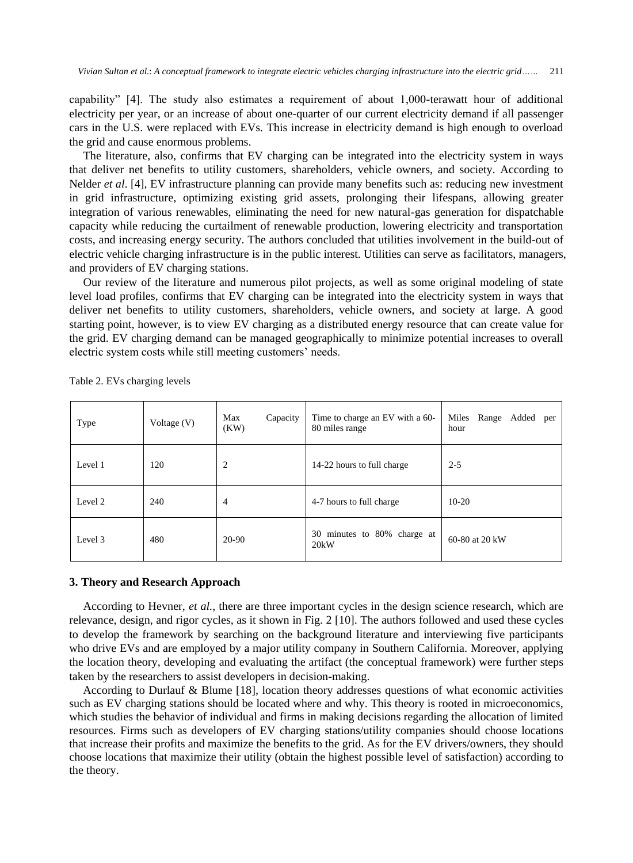capability" [4]. The study also estimates a requirement of about 1,000-terawatt hour of additional electricity per year, or an increase of about one-quarter of our current electricity demand if all passenger cars in the U.S. were replaced with EVs. This increase in electricity demand is high enough to overload the grid and cause enormous problems.

The literature, also, confirms that EV charging can be integrated into the electricity system in ways that deliver net benefits to utility customers, shareholders, vehicle owners, and society. According to Nelder *et al*. [4], EV infrastructure planning can provide many benefits such as: reducing new investment in grid infrastructure, optimizing existing grid assets, prolonging their lifespans, allowing greater integration of various renewables, eliminating the need for new natural-gas generation for dispatchable capacity while reducing the curtailment of renewable production, lowering electricity and transportation costs, and increasing energy security. The authors concluded that utilities involvement in the build-out of electric vehicle charging infrastructure is in the public interest. Utilities can serve as facilitators, managers, and providers of EV charging stations.

Our review of the literature and numerous pilot projects, as well as some original modeling of state level load profiles, confirms that EV charging can be integrated into the electricity system in ways that deliver net benefits to utility customers, shareholders, vehicle owners, and society at large. A good starting point, however, is to view EV charging as a distributed energy resource that can create value for the grid. EV charging demand can be managed geographically to minimize potential increases to overall electric system costs while still meeting customers' needs.

| Type    | Voltage $(V)$ | Max<br>Capacity<br>(KW) | Time to charge an EV with a 60-<br>80 miles range | Miles Range Added per<br>hour |
|---------|---------------|-------------------------|---------------------------------------------------|-------------------------------|
| Level 1 | 120           | 2                       | 14-22 hours to full charge                        | $2 - 5$                       |
| Level 2 | 240           | $\overline{4}$          | 4-7 hours to full charge                          | $10-20$                       |
| Level 3 | 480           | 20-90                   | 30 minutes to 80% charge at<br>20kW               | 60-80 at 20 kW                |

Table 2. EVs charging levels

## **3. Theory and Research Approach**

According to Hevner, *et al.*, there are three important cycles in the design science research, which are relevance, design, and rigor cycles, as it shown in Fig. 2 [10]. The authors followed and used these cycles to develop the framework by searching on the background literature and interviewing five participants who drive EVs and are employed by a major utility company in Southern California. Moreover, applying the location theory, developing and evaluating the artifact (the conceptual framework) were further steps taken by the researchers to assist developers in decision-making.

According to Durlauf & Blume [18], location theory addresses questions of what economic activities such as EV charging stations should be located where and why. This theory is rooted in microeconomics, which studies the behavior of individual and firms in making decisions regarding the allocation of limited resources. Firms such as developers of EV charging stations/utility companies should choose locations that increase their profits and maximize the benefits to the grid. As for the EV drivers/owners, they should choose locations that maximize their utility (obtain the highest possible level of satisfaction) according to the theory.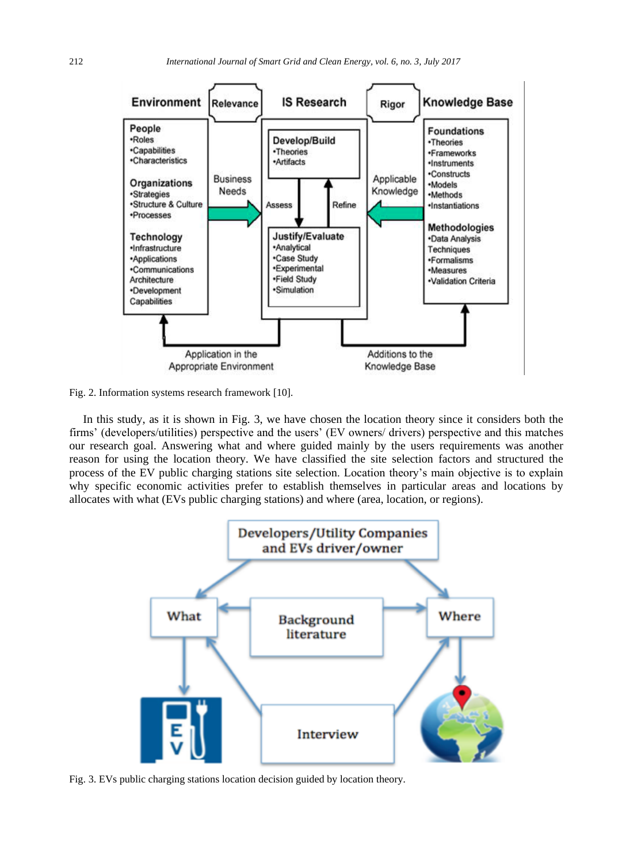

Fig. 2. Information systems research framework [10].

In this study, as it is shown in Fig. 3, we have chosen the location theory since it considers both the firms' (developers/utilities) perspective and the users' (EV owners/ drivers) perspective and this matches our research goal. Answering what and where guided mainly by the users requirements was another reason for using the location theory. We have classified the site selection factors and structured the process of the EV public charging stations site selection. Location theory's main objective is to explain why specific economic activities prefer to establish themselves in particular areas and locations by allocates with what (EVs public charging stations) and where (area, location, or regions).



Fig. 3. EVs public charging stations location decision guided by location theory.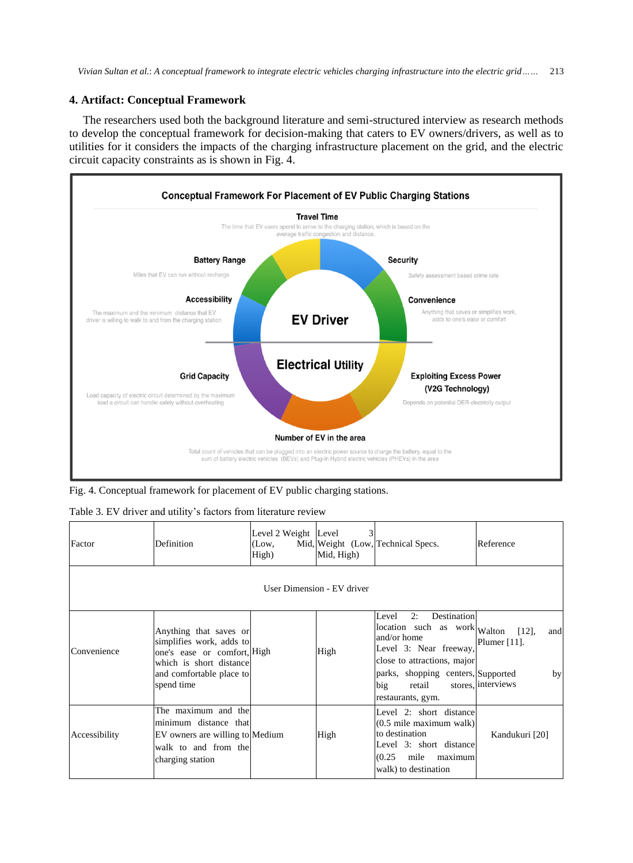## **4. Artifact: Conceptual Framework**

The researchers used both the background literature and semi-structured interview as research methods to develop the conceptual framework for decision-making that caters to EV owners/drivers, as well as to utilities for it considers the impacts of the charging infrastructure placement on the grid, and the electric circuit capacity constraints as is shown in Fig. 4.



Fig. 4. Conceptual framework for placement of EV public charging stations.

| Table 3. EV driver and utility's factors from literature review |  |  |  |  |  |  |  |
|-----------------------------------------------------------------|--|--|--|--|--|--|--|
|-----------------------------------------------------------------|--|--|--|--|--|--|--|

| Factor                     | Definition                                                                                                                                             | Level 2 Weight Level<br>(Low,<br>High) | Mid, High) | Mid, Weight (Low, Technical Specs.                                                                                                                                                                             | Reference                                                      |
|----------------------------|--------------------------------------------------------------------------------------------------------------------------------------------------------|----------------------------------------|------------|----------------------------------------------------------------------------------------------------------------------------------------------------------------------------------------------------------------|----------------------------------------------------------------|
| User Dimension - EV driver |                                                                                                                                                        |                                        |            |                                                                                                                                                                                                                |                                                                |
| Convenience                | Anything that saves or<br>simplifies work, adds to<br>one's ease or comfort, High<br>which is short distance<br>and comfortable place to<br>spend time |                                        | High       | 2:<br>Destination<br>Level<br>location such as work Walton<br>and/or home<br>Level 3: Near freeway,<br>close to attractions, major<br>parks, shopping centers, Supported<br>big<br>retail<br>restaurants, gym. | $[12]$ ,<br>and<br>Plumer $[11]$ .<br>by<br>stores, interviews |
| Accessibility              | The maximum and the<br>minimum distance that<br>EV owners are willing to Medium<br>walk to and from the<br>charging station                            |                                        | High       | Level 2: short distance<br>$(0.5 \text{ mile maximum walk})$<br>to destination<br>Level 3: short distance<br>(0.25)<br>mile<br>maximum<br>walk) to destination                                                 | Kandukuri [20]                                                 |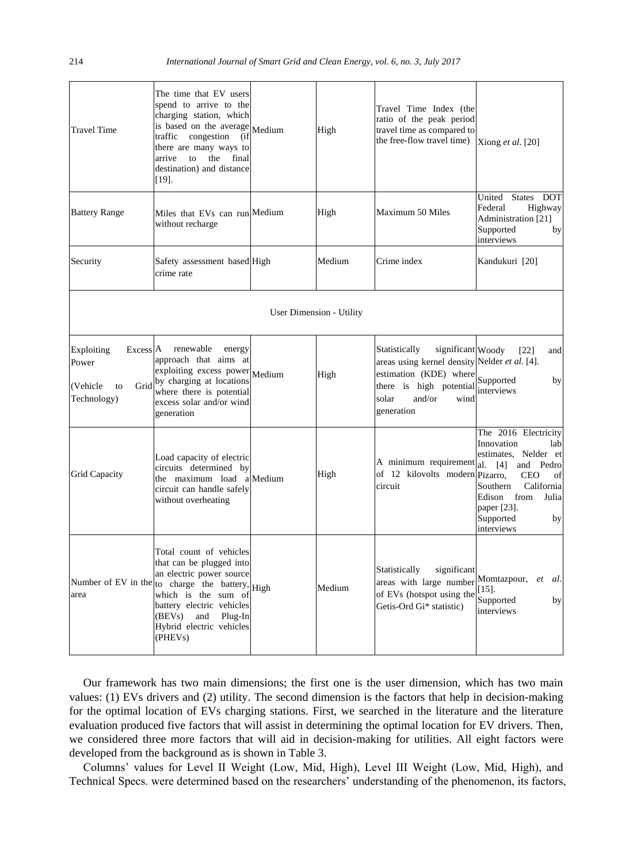| <b>Travel Time</b>                                                                   | The time that EV users<br>spend to arrive to the<br>charging station, which<br>is based on the average<br>traffic congestion<br>(if<br>there are many ways to<br>arrive<br>to<br>the<br>final<br>destination) and distance<br>$[19]$ .                                              | Medium | High   | Travel Time Index (the<br>ratio of the peak period<br>travel time as compared to<br>the free-flow travel time) [Xiong $et al.$ [20]                                               |                                                                                                                                                                                                                             |  |
|--------------------------------------------------------------------------------------|-------------------------------------------------------------------------------------------------------------------------------------------------------------------------------------------------------------------------------------------------------------------------------------|--------|--------|-----------------------------------------------------------------------------------------------------------------------------------------------------------------------------------|-----------------------------------------------------------------------------------------------------------------------------------------------------------------------------------------------------------------------------|--|
| <b>Battery Range</b>                                                                 | Miles that EVs can run Medium<br>without recharge                                                                                                                                                                                                                                   |        | High   | Maximum 50 Miles                                                                                                                                                                  | States DOT<br>United<br>Federal<br>Highway<br>Administration [21]<br>Supported<br>by<br>interviews                                                                                                                          |  |
| Security                                                                             | Safety assessment based High<br>crime rate                                                                                                                                                                                                                                          |        | Medium | Crime index                                                                                                                                                                       | Kandukuri [20]                                                                                                                                                                                                              |  |
|                                                                                      | <b>User Dimension - Utility</b>                                                                                                                                                                                                                                                     |        |        |                                                                                                                                                                                   |                                                                                                                                                                                                                             |  |
| Excess <sup>A</sup><br>Exploiting<br>Power<br>Grid<br>(Vehicle)<br>to<br>Technology) | renewable<br>energy<br>approach that aims at<br>$\exp$ exploiting excess power Medium<br>by charging at locations<br>where there is potential<br>excess solar and/or wind<br>generation                                                                                             |        | High   | Statistically<br>significant Woody<br>areas using kernel density Nelder et al. [4].<br>estimation (KDE) where<br>there is high potential<br>solar<br>and/or<br>wind<br>generation | [22]<br>and<br>Supported<br>by<br>interviews                                                                                                                                                                                |  |
| <b>Grid Capacity</b>                                                                 | Load capacity of electric<br>circuits determined by<br>the maximum load alMedium<br>circuit can handle safely<br>without overheating                                                                                                                                                |        | High   | A minimum requirement<br>of 12 kilovolts modern Pizarro,<br>circuit                                                                                                               | The 2016 Electricity<br>Innovation<br>lab<br>estimates, Nelder et<br>al.<br>[4]<br>and<br>Pedro<br><b>CEO</b><br>of<br>Southern<br>California<br>Edison<br>from<br>Julia<br>paper $[23]$ .<br>Supported<br>by<br>interviews |  |
| area                                                                                 | Total count of vehicles<br>that can be plugged into<br>an electric power source<br>Number of EV in the to charge the battery, High<br>which is the sum of<br>battery electric vehicles<br>(BEV <sub>s</sub> )<br>and<br>Plug-In<br>Hybrid electric vehicles<br>(PHEV <sub>s</sub> ) |        | Medium | Statistically<br>significant<br>areas with large number<br>of EVs (hotspot using the<br>Getis-Ord Gi* statistic)                                                                  | al.<br>Momtazpour,<br>et<br>$[15]$ .<br>Supported<br>by<br>interviews                                                                                                                                                       |  |

Our framework has two main dimensions; the first one is the user dimension, which has two main values: (1) EVs drivers and (2) utility. The second dimension is the factors that help in decision-making for the optimal location of EVs charging stations. First, we searched in the literature and the literature evaluation produced five factors that will assist in determining the optimal location for EV drivers. Then, we considered three more factors that will aid in decision-making for utilities. All eight factors were developed from the background as is shown in Table 3.

Columns' values for Level II Weight (Low, Mid, High), Level III Weight (Low, Mid, High), and Technical Specs. were determined based on the researchers' understanding of the phenomenon, its factors,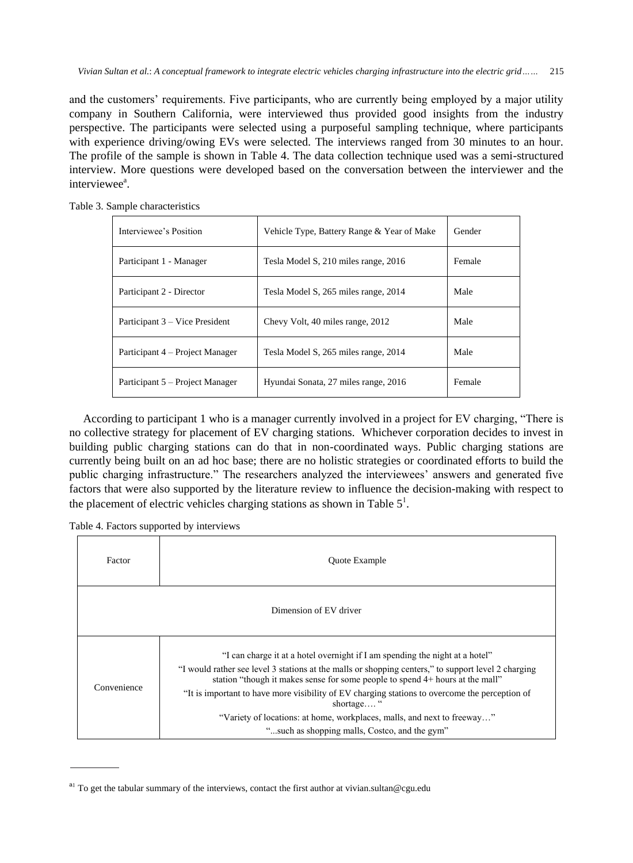*Vivian Sultan et al.*: *A conceptual framework to integrate electric vehicles charging infrastructure into the electric grid……* 215

and the customers' requirements. Five participants, who are currently being employed by a major utility company in Southern California, were interviewed thus provided good insights from the industry perspective. The participants were selected using a purposeful sampling technique, where participants with experience driving/owing EVs were selected. The interviews ranged from 30 minutes to an hour. The profile of the sample is shown in Table 4. The data collection technique used was a semi-structured interview. More questions were developed based on the conversation between the interviewer and the interviewee<sup>a</sup>.

Table 3. Sample characteristics

| Interviewee's Position          | Vehicle Type, Battery Range & Year of Make | Gender |
|---------------------------------|--------------------------------------------|--------|
| Participant 1 - Manager         | Tesla Model S, 210 miles range, 2016       | Female |
| Participant 2 - Director        | Tesla Model S, 265 miles range, 2014       | Male   |
| Participant 3 – Vice President  | Chevy Volt, 40 miles range, 2012           | Male   |
| Participant 4 – Project Manager | Tesla Model S, 265 miles range, 2014       | Male   |
| Participant 5 – Project Manager | Hyundai Sonata, 27 miles range, 2016       | Female |

According to participant 1 who is a manager currently involved in a project for EV charging, "There is no collective strategy for placement of EV charging stations. Whichever corporation decides to invest in building public charging stations can do that in non-coordinated ways. Public charging stations are currently being built on an ad hoc base; there are no holistic strategies or coordinated efforts to build the public charging infrastructure." The researchers analyzed the interviewees' answers and generated five factors that were also supported by the literature review to influence the decision-making with respect to the placement of electric vehicles charging stations as shown in Table  $5<sup>1</sup>$ .

Table 4. Factors supported by interviews

| Factor                 | <b>Ouote Example</b>                                                                                                                                                                                                                                                                                                                                                                                                                                                                                            |  |  |  |
|------------------------|-----------------------------------------------------------------------------------------------------------------------------------------------------------------------------------------------------------------------------------------------------------------------------------------------------------------------------------------------------------------------------------------------------------------------------------------------------------------------------------------------------------------|--|--|--|
| Dimension of EV driver |                                                                                                                                                                                                                                                                                                                                                                                                                                                                                                                 |  |  |  |
| Convenience            | "I can charge it at a hotel overnight if I am spending the night at a hotel"<br>"I would rather see level 3 stations at the malls or shopping centers," to support level 2 charging<br>station "though it makes sense for some people to spend 4+ hours at the mall"<br>"It is important to have more visibility of EV charging stations to overcome the perception of<br>shortage"<br>"Variety of locations: at home, workplaces, malls, and next to freeway"<br>"such as shopping malls, Costco, and the gym" |  |  |  |

<sup>&</sup>lt;sup>a</sup>! To get the tabular summary of the interviews, contact the first author at vivian.sultan@cgu.edu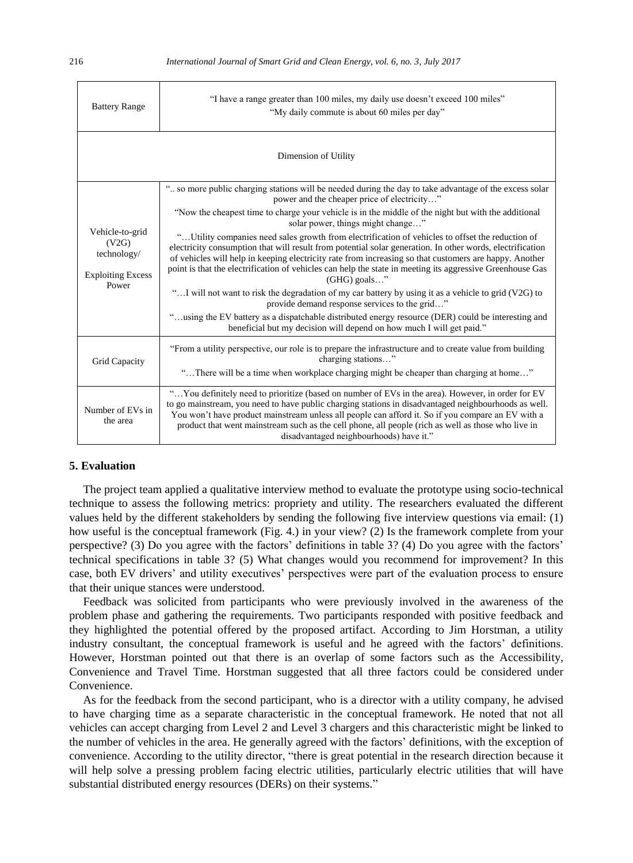| <b>Battery Range</b>                                                         | "I have a range greater than 100 miles, my daily use doesn't exceed 100 miles"<br>"My daily commute is about 60 miles per day"                                                                                                                                                                                                                                                                                                                                  |  |  |
|------------------------------------------------------------------------------|-----------------------------------------------------------------------------------------------------------------------------------------------------------------------------------------------------------------------------------------------------------------------------------------------------------------------------------------------------------------------------------------------------------------------------------------------------------------|--|--|
| Dimension of Utility                                                         |                                                                                                                                                                                                                                                                                                                                                                                                                                                                 |  |  |
|                                                                              | " so more public charging stations will be needed during the day to take advantage of the excess solar<br>power and the cheaper price of electricity"                                                                                                                                                                                                                                                                                                           |  |  |
| Vehicle-to-grid<br>(V2G)<br>technology/<br><b>Exploiting Excess</b><br>Power | "Now the cheapest time to charge your vehicle is in the middle of the night but with the additional<br>solar power, things might change"                                                                                                                                                                                                                                                                                                                        |  |  |
|                                                                              | "Utility companies need sales growth from electrification of vehicles to offset the reduction of<br>electricity consumption that will result from potential solar generation. In other words, electrification<br>of vehicles will help in keeping electricity rate from increasing so that customers are happy. Another<br>point is that the electrification of vehicles can help the state in meeting its aggressive Greenhouse Gas<br>$(GHG)$ goals"          |  |  |
|                                                                              | " I will not want to risk the degradation of my car battery by using it as a vehicle to grid (V2G) to<br>provide demand response services to the grid"                                                                                                                                                                                                                                                                                                          |  |  |
|                                                                              | "using the EV battery as a dispatchable distributed energy resource (DER) could be interesting and<br>beneficial but my decision will depend on how much I will get paid."                                                                                                                                                                                                                                                                                      |  |  |
| Grid Capacity                                                                | "From a utility perspective, our role is to prepare the infrastructure and to create value from building<br>charging stations"                                                                                                                                                                                                                                                                                                                                  |  |  |
|                                                                              | "There will be a time when workplace charging might be cheaper than charging at home"                                                                                                                                                                                                                                                                                                                                                                           |  |  |
| Number of EVs in<br>the area                                                 | "You definitely need to prioritize (based on number of EVs in the area). However, in order for EV<br>to go mainstream, you need to have public charging stations in disadvantaged neighbourhoods as well.<br>You won't have product mainstream unless all people can afford it. So if you compare an EV with a<br>product that went mainstream such as the cell phone, all people (rich as well as those who live in<br>disadvantaged neighbourhoods) have it." |  |  |

## **5. Evaluation**

The project team applied a qualitative interview method to evaluate the prototype using socio-technical technique to assess the following metrics: propriety and utility. The researchers evaluated the different values held by the different stakeholders by sending the following five interview questions via email: (1) how useful is the conceptual framework (Fig. 4.) in your view? (2) Is the framework complete from your perspective? (3) Do you agree with the factors' definitions in table 3? (4) Do you agree with the factors' technical specifications in table 3? (5) What changes would you recommend for improvement? In this case, both EV drivers' and utility executives' perspectives were part of the evaluation process to ensure that their unique stances were understood.

Feedback was solicited from participants who were previously involved in the awareness of the problem phase and gathering the requirements. Two participants responded with positive feedback and they highlighted the potential offered by the proposed artifact. According to Jim Horstman, a utility industry consultant, the conceptual framework is useful and he agreed with the factors' definitions. However, Horstman pointed out that there is an overlap of some factors such as the Accessibility, Convenience and Travel Time. Horstman suggested that all three factors could be considered under Convenience.

As for the feedback from the second participant, who is a director with a utility company, he advised to have charging time as a separate characteristic in the conceptual framework. He noted that not all vehicles can accept charging from Level 2 and Level 3 chargers and this characteristic might be linked to the number of vehicles in the area. He generally agreed with the factors' definitions, with the exception of convenience. According to the utility director, "there is great potential in the research direction because it will help solve a pressing problem facing electric utilities, particularly electric utilities that will have substantial distributed energy resources (DERs) on their systems."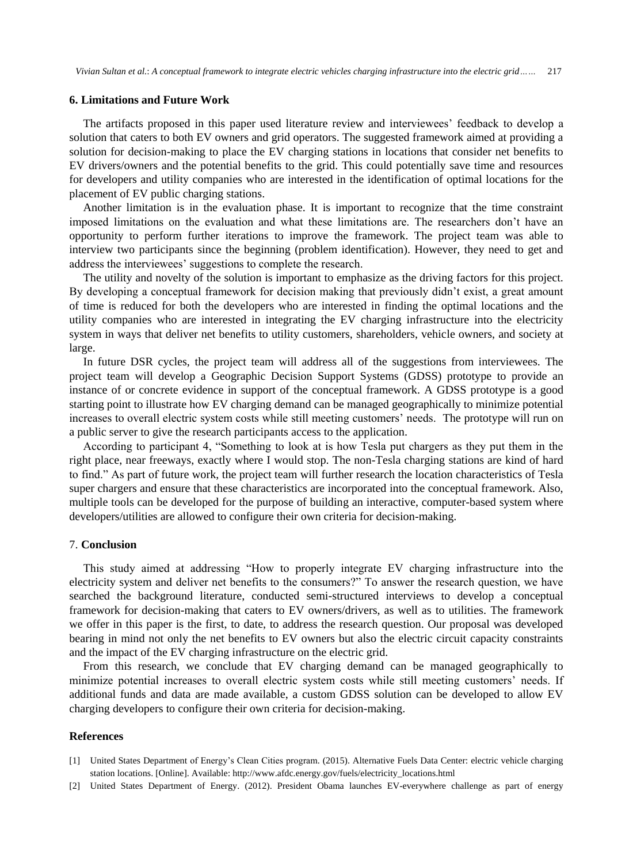*Vivian Sultan et al.*: *A conceptual framework to integrate electric vehicles charging infrastructure into the electric grid……* 217

## **6. Limitations and Future Work**

The artifacts proposed in this paper used literature review and interviewees' feedback to develop a solution that caters to both EV owners and grid operators. The suggested framework aimed at providing a solution for decision-making to place the EV charging stations in locations that consider net benefits to EV drivers/owners and the potential benefits to the grid. This could potentially save time and resources for developers and utility companies who are interested in the identification of optimal locations for the placement of EV public charging stations.

Another limitation is in the evaluation phase. It is important to recognize that the time constraint imposed limitations on the evaluation and what these limitations are. The researchers don't have an opportunity to perform further iterations to improve the framework. The project team was able to interview two participants since the beginning (problem identification). However, they need to get and address the interviewees' suggestions to complete the research.

The utility and novelty of the solution is important to emphasize as the driving factors for this project. By developing a conceptual framework for decision making that previously didn't exist, a great amount of time is reduced for both the developers who are interested in finding the optimal locations and the utility companies who are interested in integrating the EV charging infrastructure into the electricity system in ways that deliver net benefits to utility customers, shareholders, vehicle owners, and society at large.

In future DSR cycles, the project team will address all of the suggestions from interviewees. The project team will develop a Geographic Decision Support Systems (GDSS) prototype to provide an instance of or concrete evidence in support of the conceptual framework. A GDSS prototype is a good starting point to illustrate how EV charging demand can be managed geographically to minimize potential increases to overall electric system costs while still meeting customers' needs. The prototype will run on a public server to give the research participants access to the application.

According to participant 4, "Something to look at is how Tesla put chargers as they put them in the right place, near freeways, exactly where I would stop. The non-Tesla charging stations are kind of hard to find." As part of future work, the project team will further research the location characteristics of Tesla super chargers and ensure that these characteristics are incorporated into the conceptual framework. Also, multiple tools can be developed for the purpose of building an interactive, computer-based system where developers/utilities are allowed to configure their own criteria for decision-making.

#### 7. **Conclusion**

This study aimed at addressing "How to properly integrate EV charging infrastructure into the electricity system and deliver net benefits to the consumers?" To answer the research question, we have searched the background literature, conducted semi-structured interviews to develop a conceptual framework for decision-making that caters to EV owners/drivers, as well as to utilities. The framework we offer in this paper is the first, to date, to address the research question. Our proposal was developed bearing in mind not only the net benefits to EV owners but also the electric circuit capacity constraints and the impact of the EV charging infrastructure on the electric grid.

From this research, we conclude that EV charging demand can be managed geographically to minimize potential increases to overall electric system costs while still meeting customers' needs. If additional funds and data are made available, a custom GDSS solution can be developed to allow EV charging developers to configure their own criteria for decision-making.

## **References**

- [1] United States Department of Energy's Clean Cities program. (2015). Alternative Fuels Data Center: electric vehicle charging station locations. [Online]. Available[: http://www.afdc.energy.gov/fuels/electricity\\_locations.html](http://www.afdc.energy.gov/fuels/electricity_locations.html)
- [2] United States Department of Energy. (2012). President Obama launches EV-everywhere challenge as part of energy